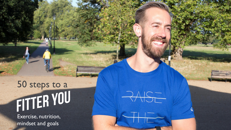## 50 steps to a<br>FITTER YOU

RAST

Exercise, nutrition, mindset and goals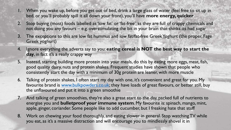- When you wake up, before you get out of bed, drink a large glass of water (feel free to sit up in bed, or you'll probably spill it all down your front), you'll have **more energy, quicker**
- 2. Stop buying (most) foods labelled as 'low fat' or 'fat-free', as they are full of crappy chemicals and not doing you any favours – e.g. overstimulating the bit in your brain that thinks its had sugar
- 3. The exceptions to this are low fat hummus and low fat/fat-free Greek Yoghurt (the proper, Fage Greek yoghurt)
- 4. Ignore everything the adverts say to you: **eating cereal is NOT the best way to start the day**, in fact it's a really crappy way
- 5. Instead, starting building more protein into your meals, do this by eating more eggs, meat, fish, good quality dairy, nuts and protein shakes. Frequent studies have shown that people who consistently start the day with a minimum of 30g protein are leaner, with more muscle
- 6. Talking of protein shakes, I often start my day with one, it's convenient and great for you. My favourite brand is [www.bulkpowders.co.uk;](http://www.bulkpowders.co.uk/) they have loads of great flavours, or better still, buy the unflavoured and put it into a green smoothie
- 7. And talking of green smoothies, they're also a great start to the day, packed full of nutrients to energise you and **bulletproof your immune system**. My favourite is: spinach, mango, mint, apple, ginger, coriander. Some people like to add cucumber, but I freaking hate that stuff
- 8. Work on chewing your food thoroughly, and eating slower in general. Stop watching TV while you eat, as it's a massive distraction and will encourage you to mindlessly shovel it in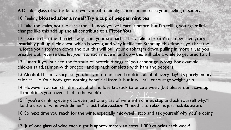9. Drink a glass of water before every meal to aid digestion and increase your feeling of satiety

## 10. Feeling **bloated after a meal? Try a cup of peppermint tea**

11. Take the stairs, not the escalator – I know you've heard it before, but I'm telling you again: little changes like this add up and all contribute to a **Fitter You**

12. Learn to breathe the right way, from your stomach. If I say 'take a breath' to a new client, they invariably puff up their chest, which is wrong and very inefficient. Stand up, this time as you breathe in, force your stomach down and out, this will pull your diaphragm down, pulling in more air, as you breathe out, reverse this, let your stomach move in and up – this will take a while to get used to...!

13. Lunch. If you stick to the formula of 'protein + veggies' you cannot go wrong. For example: chicken salad, salmon with broccoli and spinach, omelette with ham and peppers.

13. Alcohol. This may surprise you, but you do not need to drink alcohol every day! It's purely empty calories – ie. Your body gets nothing beneficial from it, but it will still encourage weight gain.

14. However you can still drink alcohol and lose fat: stick to once a week (but please don't save up all the drinks you haven't had in the week!)

15. If you're drinking every day, even just one glass of wine with dinner, stop and ask yourself why. "I like the taste of wine with dinner" is just **habituation**. "I need it to relax" is just **habituation**.

16. So next time you reach for the wine, especially mid-week, stop and ask yourself why you're doing it.

17. 'Just' one glass of wine each night is approximately an extra 1,000 calories each week!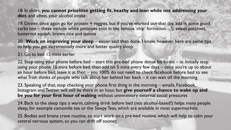18. In short, **you cannot prioritise getting fit, heathy and lean while not addressing your diet**, and often, your alcohol intake

19. Dinner, once again go for protein + veggies, but if you've worked out that day, add in some good carbs too – these include white potatoes (not in the famous 'chip' formation…!), sweet potatoes, butternut squash, brown rice and quinoa

20. **Work on improving your sleep** – easier said than done, I know, however here are some tips to help you get incrementally more and better quality sleep

21. Go to bed 15 mins earlier

22. Stop using your phone before bed – start this pre-bed phone detox bit-by-bit – ie. Initially stop using your phone 10 mins before bed, then add on 5 mins every few days – once you're up to about an hour before bed, leave it at then – you 100% do not need to check facebook before bed to see what Trish thinks of people who talk about her behind her back – it can wait till the morning

23. Speaking of that, stop checking your phone first thing in the morning – emails, Facebook, Instagram and Twitter will still be there in an hour, but **give yourself a chance to wake up and be you for your first hour of waking** without unnecessary external social pressures

24. Back to the sleep tips: a warm, calming drink before bed (not alcohol-based!) helps many people sleep, for example camomile tea or the Sleepy Teas, which are available in most supermarkets

25. Bodies and brains crave routine, so start work on a pre-bed routine, which will help to calm your central nervous system, so you can drift off sooner.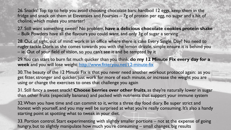26. Snacks! Top tip to help you avoid choosing chocolate bars: hardboil 12 eggs, keep them in the fridge and snack on them at Elevensies and Foursies – 7g of protein per egg, no sugar and a hit of choline, which makes you smarter!

27. Still want something sweet? No problem, **have a delicious chocolate cookies protein shake**  – Bulk Powders have all the flavours you could want, and only 3g of sugar a serving

28. Out of sight, out of mind: work in an office where there is cake Every. Single. Day? No need to rugby tackle Doris as she comes towards you with the lemon drizzle, simple ensure it is behind you – ie. Out of your field of vision, so you can't see it and be tempted by it

29. You can start to burn fat much quicker than you think: **do my 12 Minute Fix every day for a week** and you will lose weight:<http://www.fitteryou.net/12-minute-fix>

30. The beauty of the 12 Minute Fix is that you never need another workout protocol again: as you get fitter, stronger and quicker, just work for more of each minute, or increase the weight you are using or change the exercises to ones that challenge you again

31. Still fancy a sweet snack? **Choose berries over other fruits**, as they're naturally lower in sugar than other fruits (especially bananas) and packed with nutrients that support your immune system

32. When you have time and can commit to it, write a three day food diary. Be super strict and honest with yourself, and you may well be surprised at what you're really consuming. It's also a handy starting point at spotting what to tweak in your diet.

33. Portion control. Start experimenting with slightly smaller portions – not at the expense of going hungry, but to slightly manipulate how much you're consuming – small changes, big results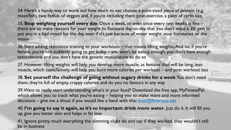34. Here's a handy way to work out how much to eat: choose a palm-sized piece of protein (e.g. meat/fish), two fistfuls of veggies and, if you're including them post-exercise, a palm of carbs too

35. **Stop weighing yourself every day**. Once a week, or even once every two weeks is fine – there are so many reasons for your weight to fluctuate day-to-day, that you don't want a 2lb gain to put you in a bad mood for the day, even if it's just because of water weight, your hormones or the moon

36. Start adding resistance training to your workouts – that means lifting weights. And no, if you're female, you're not suddenly going to get bulky – you won't be eating enough, you don't have enough testosterone and you don't have the genetic musculature to do so

37. However lifting weights will help you develop more muscle, as females that will be long, lean muscle, which cumulatively, will help you burn more calories per workout – and post workout too

38. **Set yourself the challenge of going without sugary drinks for a week**. You don't need them, they're full of empty, crappy calories and do you no favours in any way

39. Want to really start understanding what's in your food? Download the free app, MyFitnessPal, which allows you to track what you're eating – helping you to make more and more informed decisions – give me a shout if you would like a hand with this: [matt@fitteryou.net](mailto:matt@fitteryou.net)

40. **I'm going to say it again, as it's so important: drink more water.** Just do it. It will fill you up, give you better skin and helps in fat loss

41. Ignore pretty much everything the slimming clubs do and say: if they worked, they wouldn't still be in business